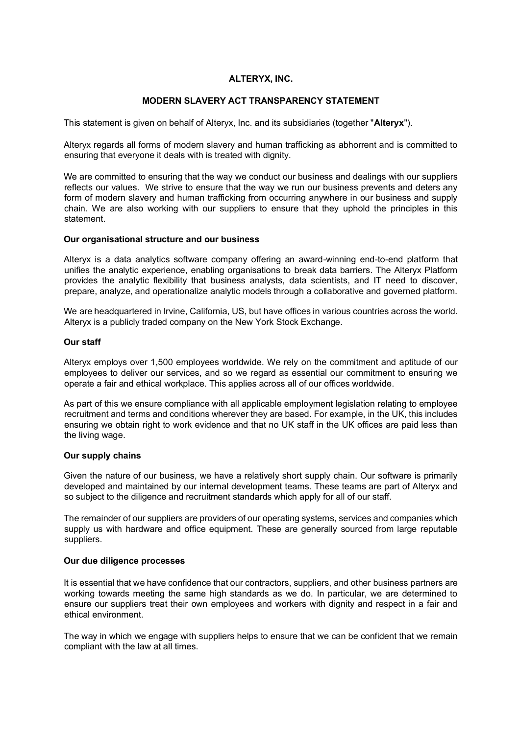# **ALTERYX, INC.**

# **MODERN SLAVERY ACT TRANSPARENCY STATEMENT**

This statement is given on behalf of Alteryx, Inc. and its subsidiaries (together "**Alteryx**").

Alteryx regards all forms of modern slavery and human trafficking as abhorrent and is committed to ensuring that everyone it deals with is treated with dignity.

We are committed to ensuring that the way we conduct our business and dealings with our suppliers reflects our values. We strive to ensure that the way we run our business prevents and deters any form of modern slavery and human trafficking from occurring anywhere in our business and supply chain. We are also working with our suppliers to ensure that they uphold the principles in this statement.

## **Our organisational structure and our business**

Alteryx is a data analytics software company offering an award-winning end-to-end platform that unifies the analytic experience, enabling organisations to break data barriers. The Alteryx Platform provides the analytic flexibility that business analysts, data scientists, and IT need to discover, prepare, analyze, and operationalize analytic models through a collaborative and governed platform.

We are headquartered in Irvine, California, US, but have offices in various countries across the world. Alteryx is a publicly traded company on the New York Stock Exchange.

# **Our staff**

Alteryx employs over 1,500 employees worldwide. We rely on the commitment and aptitude of our employees to deliver our services, and so we regard as essential our commitment to ensuring we operate a fair and ethical workplace. This applies across all of our offices worldwide.

As part of this we ensure compliance with all applicable employment legislation relating to employee recruitment and terms and conditions wherever they are based. For example, in the UK, this includes ensuring we obtain right to work evidence and that no UK staff in the UK offices are paid less than the living wage.

# **Our supply chains**

Given the nature of our business, we have a relatively short supply chain. Our software is primarily developed and maintained by our internal development teams. These teams are part of Alteryx and so subject to the diligence and recruitment standards which apply for all of our staff.

The remainder of our suppliers are providers of our operating systems, services and companies which supply us with hardware and office equipment. These are generally sourced from large reputable suppliers.

# **Our due diligence processes**

It is essential that we have confidence that our contractors, suppliers, and other business partners are working towards meeting the same high standards as we do. In particular, we are determined to ensure our suppliers treat their own employees and workers with dignity and respect in a fair and ethical environment.

The way in which we engage with suppliers helps to ensure that we can be confident that we remain compliant with the law at all times.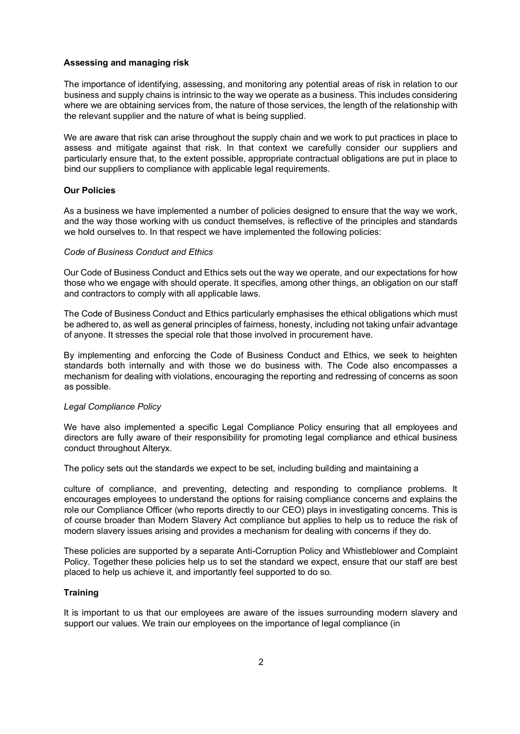#### **Assessing and managing risk**

The importance of identifying, assessing, and monitoring any potential areas of risk in relation to our business and supply chains is intrinsic to the way we operate as a business. This includes considering where we are obtaining services from, the nature of those services, the length of the relationship with the relevant supplier and the nature of what is being supplied.

We are aware that risk can arise throughout the supply chain and we work to put practices in place to assess and mitigate against that risk. In that context we carefully consider our suppliers and particularly ensure that, to the extent possible, appropriate contractual obligations are put in place to bind our suppliers to compliance with applicable legal requirements.

### **Our Policies**

As a business we have implemented a number of policies designed to ensure that the way we work, and the way those working with us conduct themselves, is reflective of the principles and standards we hold ourselves to. In that respect we have implemented the following policies:

### *Code of Business Conduct and Ethics*

Our Code of Business Conduct and Ethics sets out the way we operate, and our expectations for how those who we engage with should operate. It specifies, among other things, an obligation on our staff and contractors to comply with all applicable laws.

The Code of Business Conduct and Ethics particularly emphasises the ethical obligations which must be adhered to, as well as general principles of fairness, honesty, including not taking unfair advantage of anyone. It stresses the special role that those involved in procurement have.

By implementing and enforcing the Code of Business Conduct and Ethics, we seek to heighten standards both internally and with those we do business with. The Code also encompasses a mechanism for dealing with violations, encouraging the reporting and redressing of concerns as soon as possible.

### *Legal Compliance Policy*

We have also implemented a specific Legal Compliance Policy ensuring that all employees and directors are fully aware of their responsibility for promoting legal compliance and ethical business conduct throughout Alteryx.

The policy sets out the standards we expect to be set, including building and maintaining a

culture of compliance, and preventing, detecting and responding to compliance problems. It encourages employees to understand the options for raising compliance concerns and explains the role our Compliance Officer (who reports directly to our CEO) plays in investigating concerns. This is of course broader than Modern Slavery Act compliance but applies to help us to reduce the risk of modern slavery issues arising and provides a mechanism for dealing with concerns if they do.

These policies are supported by a separate Anti-Corruption Policy and Whistleblower and Complaint Policy. Together these policies help us to set the standard we expect, ensure that our staff are best placed to help us achieve it, and importantly feel supported to do so.

### **Training**

It is important to us that our employees are aware of the issues surrounding modern slavery and support our values. We train our employees on the importance of legal compliance (in